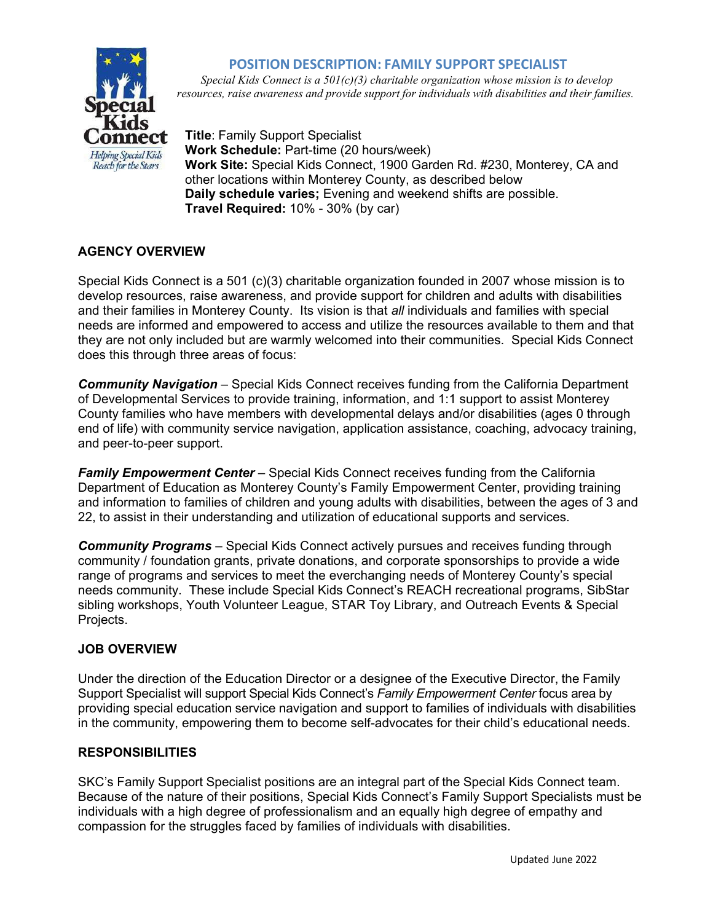#### **POSITION DESCRIPTION: FAMILY SUPPORT SPECIALIST**



*Special Kids Connect is a 501(c)(3) charitable organization whose mission is to develop resources, raise awareness and provide support for individuals with disabilities and their families.* 

**Title**: Family Support Specialist **Work Schedule:** Part-time (20 hours/week) **Work Site:** Special Kids Connect, 1900 Garden Rd. #230, Monterey, CA and other locations within Monterey County, as described below **Daily schedule varies;** Evening and weekend shifts are possible. **Travel Required:** 10% - 30% (by car)

# **AGENCY OVERVIEW**

Special Kids Connect is a 501 (c)(3) charitable organization founded in 2007 whose mission is to develop resources, raise awareness, and provide support for children and adults with disabilities and their families in Monterey County. Its vision is that *all* individuals and families with special needs are informed and empowered to access and utilize the resources available to them and that they are not only included but are warmly welcomed into their communities. Special Kids Connect does this through three areas of focus:

*Community Navigation* – Special Kids Connect receives funding from the California Department of Developmental Services to provide training, information, and 1:1 support to assist Monterey County families who have members with developmental delays and/or disabilities (ages 0 through end of life) with community service navigation, application assistance, coaching, advocacy training, and peer-to-peer support.

*Family Empowerment Center* – Special Kids Connect receives funding from the California Department of Education as Monterey County's Family Empowerment Center, providing training and information to families of children and young adults with disabilities, between the ages of 3 and 22, to assist in their understanding and utilization of educational supports and services.

*Community Programs* – Special Kids Connect actively pursues and receives funding through community / foundation grants, private donations, and corporate sponsorships to provide a wide range of programs and services to meet the everchanging needs of Monterey County's special needs community. These include Special Kids Connect's REACH recreational programs, SibStar sibling workshops, Youth Volunteer League, STAR Toy Library, and Outreach Events & Special Projects.

# **JOB OVERVIEW**

Under the direction of the Education Director or a designee of the Executive Director, the Family Support Specialist will support Special Kids Connect's *Family Empowerment Center* focus area by providing special education service navigation and support to families of individuals with disabilities in the community, empowering them to become self-advocates for their child's educational needs.

#### **RESPONSIBILITIES**

SKC's Family Support Specialist positions are an integral part of the Special Kids Connect team. Because of the nature of their positions, Special Kids Connect's Family Support Specialists must be individuals with a high degree of professionalism and an equally high degree of empathy and compassion for the struggles faced by families of individuals with disabilities.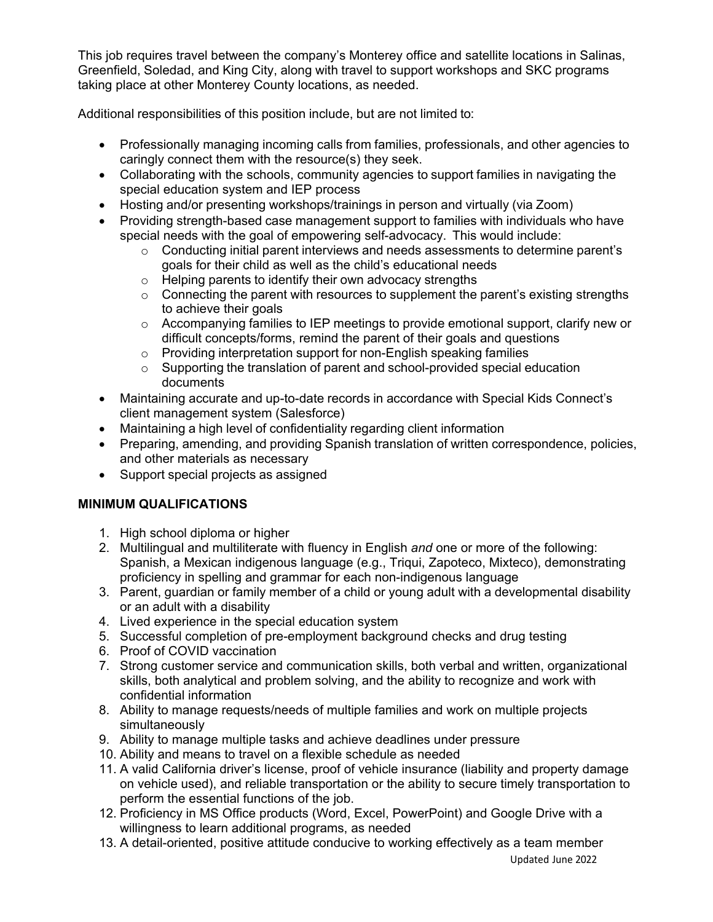This job requires travel between the company's Monterey office and satellite locations in Salinas, Greenfield, Soledad, and King City, along with travel to support workshops and SKC programs taking place at other Monterey County locations, as needed.

Additional responsibilities of this position include, but are not limited to:

- Professionally managing incoming calls from families, professionals, and other agencies to caringly connect them with the resource(s) they seek.
- Collaborating with the schools, community agencies to support families in navigating the special education system and IEP process
- Hosting and/or presenting workshops/trainings in person and virtually (via Zoom)
- Providing strength-based case management support to families with individuals who have special needs with the goal of empowering self-advocacy. This would include:
	- o Conducting initial parent interviews and needs assessments to determine parent's goals for their child as well as the child's educational needs
	- $\circ$  Helping parents to identify their own advocacy strengths
	- $\circ$  Connecting the parent with resources to supplement the parent's existing strengths to achieve their goals
	- $\circ$  Accompanying families to IEP meetings to provide emotional support, clarify new or difficult concepts/forms, remind the parent of their goals and questions
	- o Providing interpretation support for non-English speaking families
	- $\circ$  Supporting the translation of parent and school-provided special education documents
- Maintaining accurate and up-to-date records in accordance with Special Kids Connect's client management system (Salesforce)
- Maintaining a high level of confidentiality regarding client information
- Preparing, amending, and providing Spanish translation of written correspondence, policies, and other materials as necessary
- Support special projects as assigned

# **MINIMUM QUALIFICATIONS**

- 1. High school diploma or higher
- 2. Multilingual and multiliterate with fluency in English *and* one or more of the following: Spanish, a Mexican indigenous language (e.g., Triqui, Zapoteco, Mixteco), demonstrating proficiency in spelling and grammar for each non-indigenous language
- 3. Parent, guardian or family member of a child or young adult with a developmental disability or an adult with a disability
- 4. Lived experience in the special education system
- 5. Successful completion of pre-employment background checks and drug testing
- 6. Proof of COVID vaccination
- 7. Strong customer service and communication skills, both verbal and written, organizational skills, both analytical and problem solving, and the ability to recognize and work with confidential information
- 8. Ability to manage requests/needs of multiple families and work on multiple projects simultaneously
- 9. Ability to manage multiple tasks and achieve deadlines under pressure
- 10. Ability and means to travel on a flexible schedule as needed
- 11. A valid California driver's license, proof of vehicle insurance (liability and property damage on vehicle used), and reliable transportation or the ability to secure timely transportation to perform the essential functions of the job.
- 12. Proficiency in MS Office products (Word, Excel, PowerPoint) and Google Drive with a willingness to learn additional programs, as needed
- Updated June 2022 13. A detail-oriented, positive attitude conducive to working effectively as a team member